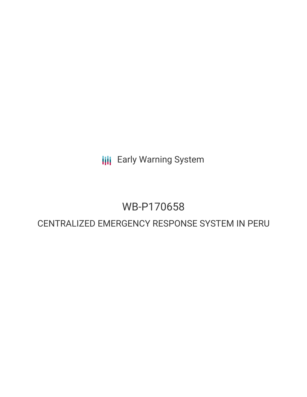**III** Early Warning System

# WB-P170658

# CENTRALIZED EMERGENCY RESPONSE SYSTEM IN PERU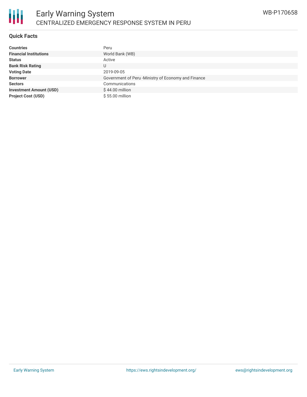## **Quick Facts**

| <b>Countries</b>               | Peru                                                 |
|--------------------------------|------------------------------------------------------|
| <b>Financial Institutions</b>  | World Bank (WB)                                      |
| <b>Status</b>                  | Active                                               |
| <b>Bank Risk Rating</b>        | U                                                    |
| <b>Voting Date</b>             | 2019-09-05                                           |
| <b>Borrower</b>                | Government of Peru - Ministry of Economy and Finance |
| <b>Sectors</b>                 | Communications                                       |
| <b>Investment Amount (USD)</b> | $$44.00$ million                                     |
| <b>Project Cost (USD)</b>      | \$55,00 million                                      |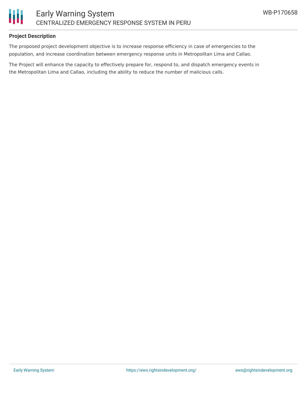

# **Project Description**

The proposed project development objective is to increase response efficiency in case of emergencies to the population, and increase coordination between emergency response units in Metropolitan Lima and Callao.

The Project will enhance the capacity to effectively prepare for, respond to, and dispatch emergency events in the Metropolitan Lima and Callao, including the ability to reduce the number of malicious calls.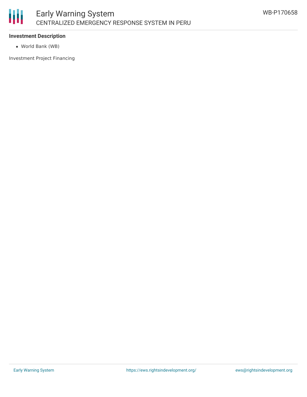

## **Investment Description**

World Bank (WB)

Investment Project Financing